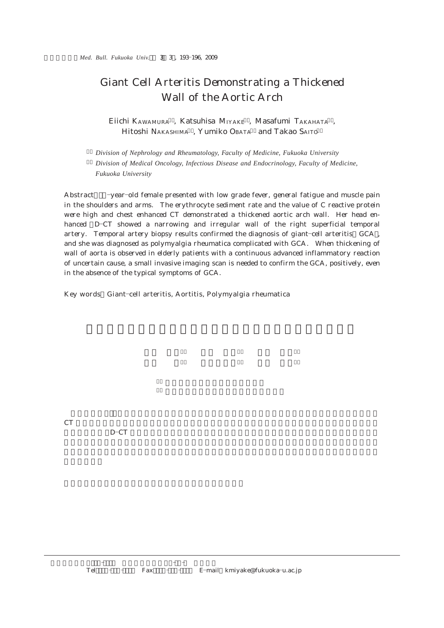## Giant Cell Arteritis Demonstrating a Thickened Wall of the Aortic Arch

Eiichi KAWAMURA, Katsuhisa MIYAKE, Masafumi TAKAHATA, Hitoshi NAKASHIMA, Yumiko OBATA and Takao SAITO

1) *Division of Nephrology and Rheumatology, Faculty of Medicine, Fukuoka University* 2) *Division of Medical Oncology, Infectious Disease and Endocrinology, Faculty of Medicine, Fukuoka University*

Abstract -year-old female presented with low grade fever, general fatigue and muscle pain in the shoulders and arms. The erythrocyte sediment rate and the value of C reactive protein were high and chest enhanced CT demonstrated a thickened aortic arch wall. Her head enhanced D-CT showed a narrowing and irregular wall of the right superficial temporal artery. Temporal artery biopsy results confirmed the diagnosis of giant-cell arteritis  $GCA$ , and she was diagnosed as polymyalgia rheumatica complicated with GCA. When thickening of wall of aorta is observed in elderly patients with a continuous advanced inflammatory reaction of uncertain cause, a small invasive imaging scan is needed to confirm the GCA, positively, even in the absence of the typical symptoms of GCA.

Key words Giant-cell arteritis, Aortitis, Polymyalgia rheumatica

 $CT$ 

 $D$ -CT  $\Box$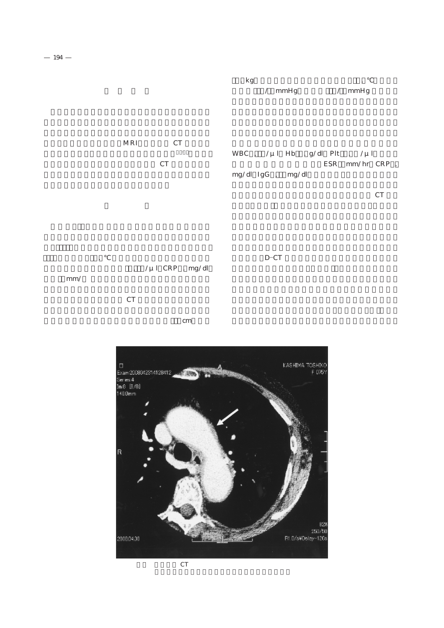## MRI CT 検査にて確認,評価することが可能となった1)4).今回, 原因不明の炎症所見が続き,胸部造影 CT で動脈硬化性 WBC ,  $/\mu$ l Hb  $. g/dl$  Plt  $. \ / \mu$ l  $ESR$  mm/hr  $CRP$ . mg/dl IgG ,  $mg/dl$

臓器病変および悪性腫瘍検索目的で胸腹部造影 CT を撮

年1月より37.2℃ の発熱,全身倦怠感が出現し4月  $, \gamma \mu 1 \, \text{CRP} \, \ldots \, \text{mg/dl}$  $CT$  $D$ -CT

 $cm$ 



 $\text{mm}/$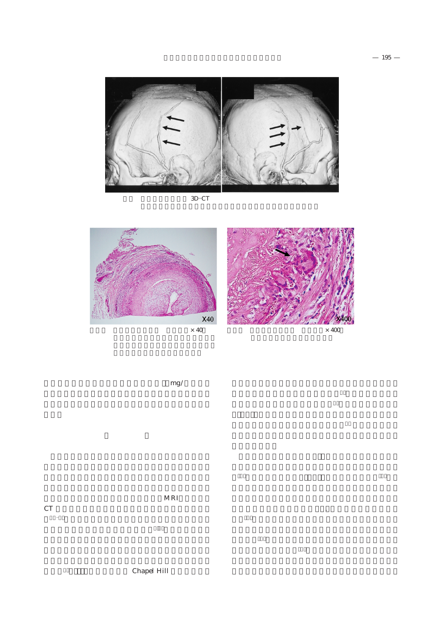

 $3D$  – $CT$ 



, 側部に関する場合には、側部に関する場合に関する場合が

 $mg/$ 

 $\,$  CT  $\,$ 

CT <sub>example</sub>

1)4). さらに, 側頭動脈炎患者に, 側部の部分がある。